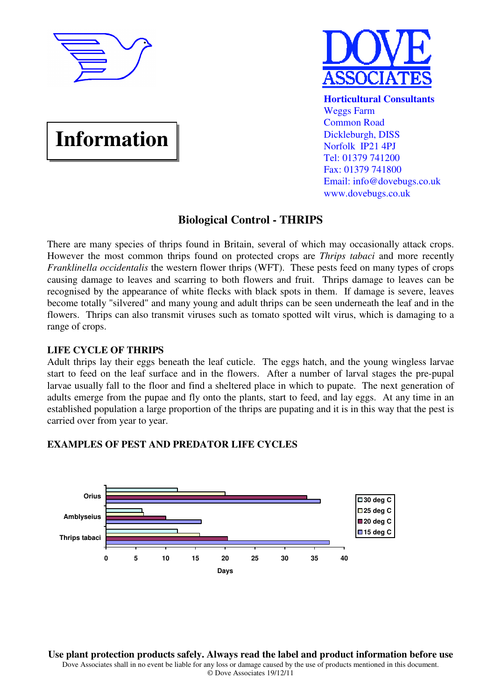

**Information**



**Horticultural Consultants** Weggs Farm Common Road Dickleburgh, DISS Norfolk IP21 4PJ Tel: 01379 741200 Fax: 01379 741800 Email: info@dovebugs.co.uk www.dovebugs.co.uk

# **Biological Control - THRIPS**

There are many species of thrips found in Britain, several of which may occasionally attack crops. However the most common thrips found on protected crops are *Thrips tabaci* and more recently *Franklinella occidentalis* the western flower thrips (WFT). These pests feed on many types of crops causing damage to leaves and scarring to both flowers and fruit. Thrips damage to leaves can be recognised by the appearance of white flecks with black spots in them. If damage is severe, leaves become totally "silvered" and many young and adult thrips can be seen underneath the leaf and in the flowers. Thrips can also transmit viruses such as tomato spotted wilt virus, which is damaging to a range of crops.

## **LIFE CYCLE OF THRIPS**

Adult thrips lay their eggs beneath the leaf cuticle. The eggs hatch, and the young wingless larvae start to feed on the leaf surface and in the flowers. After a number of larval stages the pre-pupal larvae usually fall to the floor and find a sheltered place in which to pupate. The next generation of adults emerge from the pupae and fly onto the plants, start to feed, and lay eggs. At any time in an established population a large proportion of the thrips are pupating and it is in this way that the pest is carried over from year to year.

## **EXAMPLES OF PEST AND PREDATOR LIFE CYCLES**



**Use plant protection products safely. Always read the label and product information before use**  Dove Associates shall in no event be liable for any loss or damage caused by the use of products mentioned in this document.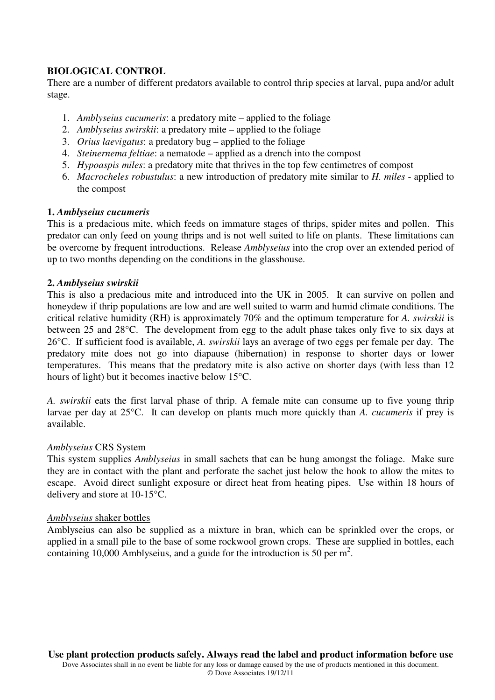## **BIOLOGICAL CONTROL**

There are a number of different predators available to control thrip species at larval, pupa and/or adult stage.

- 1. *Amblyseius cucumeris*: a predatory mite applied to the foliage
- 2. *Amblyseius swirskii*: a predatory mite applied to the foliage
- 3. *Orius laevigatus*: a predatory bug applied to the foliage
- 4. *Steinernema feltiae*: a nematode applied as a drench into the compost
- 5. *Hypoaspis miles*: a predatory mite that thrives in the top few centimetres of compost
- 6. *Macrocheles robustulus*: a new introduction of predatory mite similar to *H. miles* applied to the compost

#### **1.** *Amblyseius cucumeris*

This is a predacious mite, which feeds on immature stages of thrips, spider mites and pollen. This predator can only feed on young thrips and is not well suited to life on plants. These limitations can be overcome by frequent introductions. Release *Amblyseius* into the crop over an extended period of up to two months depending on the conditions in the glasshouse.

## **2.** *Amblyseius swirskii*

This is also a predacious mite and introduced into the UK in 2005. It can survive on pollen and honeydew if thrip populations are low and are well suited to warm and humid climate conditions. The critical relative humidity (RH) is approximately 70% and the optimum temperature for *A. swirskii* is between 25 and 28°C. The development from egg to the adult phase takes only five to six days at 26°C. If sufficient food is available, *A. swirskii* lays an average of two eggs per female per day. The predatory mite does not go into diapause (hibernation) in response to shorter days or lower temperatures. This means that the predatory mite is also active on shorter days (with less than 12 hours of light) but it becomes inactive below 15°C.

*A. swirskii* eats the first larval phase of thrip. A female mite can consume up to five young thrip larvae per day at 25°C. It can develop on plants much more quickly than *A. cucumeris* if prey is available.

#### *Amblyseius* CRS System

This system supplies *Amblyseius* in small sachets that can be hung amongst the foliage. Make sure they are in contact with the plant and perforate the sachet just below the hook to allow the mites to escape. Avoid direct sunlight exposure or direct heat from heating pipes. Use within 18 hours of delivery and store at 10-15°C.

#### *Amblyseius* shaker bottles

Amblyseius can also be supplied as a mixture in bran, which can be sprinkled over the crops, or applied in a small pile to the base of some rockwool grown crops. These are supplied in bottles, each containing 10,000 Amblyseius, and a guide for the introduction is 50 per  $m^2$ .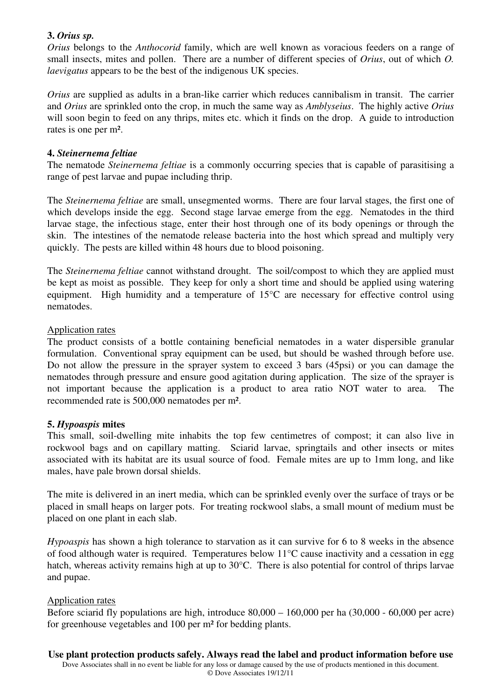## **3.** *Orius sp.*

*Orius* belongs to the *Anthocorid* family, which are well known as voracious feeders on a range of small insects, mites and pollen. There are a number of different species of *Orius*, out of which *O. laevigatus* appears to be the best of the indigenous UK species.

*Orius* are supplied as adults in a bran-like carrier which reduces cannibalism in transit. The carrier and *Orius* are sprinkled onto the crop, in much the same way as *Amblyseius*. The highly active *Orius* will soon begin to feed on any thrips, mites etc. which it finds on the drop. A guide to introduction rates is one per m².

### **4.** *Steinernema feltiae*

The nematode *Steinernema feltiae* is a commonly occurring species that is capable of parasitising a range of pest larvae and pupae including thrip.

The *Steinernema feltiae* are small, unsegmented worms. There are four larval stages, the first one of which develops inside the egg. Second stage larvae emerge from the egg. Nematodes in the third larvae stage, the infectious stage, enter their host through one of its body openings or through the skin. The intestines of the nematode release bacteria into the host which spread and multiply very quickly. The pests are killed within 48 hours due to blood poisoning.

The *Steinernema feltiae* cannot withstand drought. The soil/compost to which they are applied must be kept as moist as possible. They keep for only a short time and should be applied using watering equipment. High humidity and a temperature of 15°C are necessary for effective control using nematodes.

## Application rates

The product consists of a bottle containing beneficial nematodes in a water dispersible granular formulation. Conventional spray equipment can be used, but should be washed through before use. Do not allow the pressure in the sprayer system to exceed 3 bars (45psi) or you can damage the nematodes through pressure and ensure good agitation during application. The size of the sprayer is not important because the application is a product to area ratio NOT water to area. The recommended rate is 500,000 nematodes per m².

## **5.** *Hypoaspis* **mites**

This small, soil-dwelling mite inhabits the top few centimetres of compost; it can also live in rockwool bags and on capillary matting. Sciarid larvae, springtails and other insects or mites associated with its habitat are its usual source of food. Female mites are up to 1mm long, and like males, have pale brown dorsal shields.

The mite is delivered in an inert media, which can be sprinkled evenly over the surface of trays or be placed in small heaps on larger pots. For treating rockwool slabs, a small mount of medium must be placed on one plant in each slab.

*Hypoaspis* has shown a high tolerance to starvation as it can survive for 6 to 8 weeks in the absence of food although water is required. Temperatures below 11°C cause inactivity and a cessation in egg hatch, whereas activity remains high at up to 30°C. There is also potential for control of thrips larvae and pupae.

#### Application rates

Before sciarid fly populations are high, introduce  $80,000 - 160,000$  per ha  $(30,000 - 60,000$  per acre) for greenhouse vegetables and 100 per m² for bedding plants.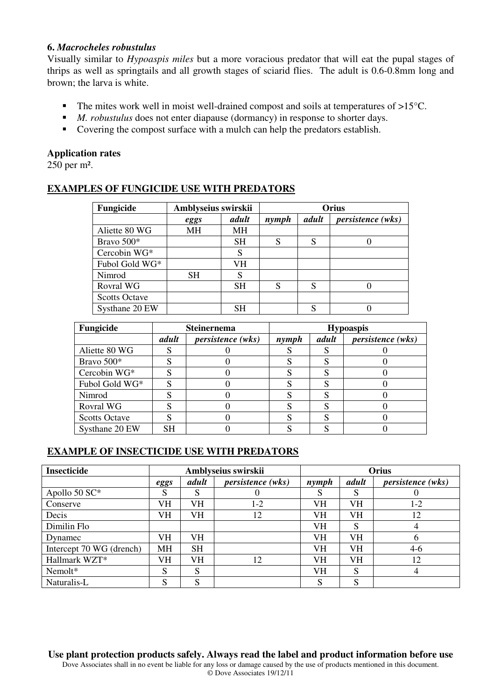#### **6.** *Macrocheles robustulus*

Visually similar to *Hypoaspis miles* but a more voracious predator that will eat the pupal stages of thrips as well as springtails and all growth stages of sciarid flies. The adult is 0.6-0.8mm long and brown; the larva is white.

- The mites work well in moist well-drained compost and soils at temperatures of  $>15^{\circ}$ C.
- *M. robustulus* does not enter diapause (dormancy) in response to shorter days.
- Covering the compost surface with a mulch can help the predators establish.

### **Application rates**

250 per m².

## **EXAMPLES OF FUNGICIDE USE WITH PREDATORS**

| Fungicide            | Amblyseius swirskii | Orius     |       |       |                          |
|----------------------|---------------------|-----------|-------|-------|--------------------------|
|                      | eggs                | adult     | nymph | adult | <i>persistence</i> (wks) |
| Aliette 80 WG        | <b>MH</b>           | МH        |       |       |                          |
| Bravo 500*           |                     | <b>SH</b> | S     | S     |                          |
| Cercobin WG*         |                     | S         |       |       |                          |
| Fubol Gold WG*       |                     | VH        |       |       |                          |
| Nimrod               | <b>SH</b>           | S         |       |       |                          |
| Rovral WG            |                     | <b>SH</b> | S     | S     |                          |
| <b>Scotts Octave</b> |                     |           |       |       |                          |
| Systhane 20 EW       |                     | SН        |       | S     |                          |

| Fungicide            |           | <b>Steinernema</b>       | <b>Hypoaspis</b> |       |                          |  |
|----------------------|-----------|--------------------------|------------------|-------|--------------------------|--|
|                      | adult     | <i>persistence</i> (wks) | nymph            | adult | <i>persistence</i> (wks) |  |
| Aliette 80 WG        |           |                          |                  |       |                          |  |
| Bravo 500*           |           |                          |                  |       |                          |  |
| Cercobin WG*         |           |                          |                  |       |                          |  |
| Fubol Gold WG*       |           |                          |                  |       |                          |  |
| Nimrod               |           |                          |                  |       |                          |  |
| Rovral WG            |           |                          |                  |       |                          |  |
| <b>Scotts Octave</b> |           |                          |                  |       |                          |  |
| Systhane 20 EW       | <b>SH</b> |                          |                  |       |                          |  |

# **EXAMPLE OF INSECTICIDE USE WITH PREDATORS**

| <b>Insecticide</b>       | Amblyseius swirskii |           |                          | Orius |       |                          |
|--------------------------|---------------------|-----------|--------------------------|-------|-------|--------------------------|
|                          | eggs                | adult     | <i>persistence</i> (wks) | nymph | adult | <i>persistence</i> (wks) |
| Apollo 50 SC*            | S                   | S         | O                        | S     | S     |                          |
| Conserve                 | VH                  | VH        | $1-2$                    | VH    | VH    | $1-2$                    |
| Decis                    | <b>VH</b>           | VH        | 12                       | VH    | VH    | 12                       |
| Dimilin Flo              |                     |           |                          | VH    | S     | 4                        |
| Dynamec                  | <b>VH</b>           | VH        |                          | VH    | VH    | h                        |
| Intercept 70 WG (drench) | MH                  | <b>SH</b> |                          | VH    | VH    | $4-6$                    |
| Hallmark WZT*            | VH                  | VH        | 12                       | VH    | VH    | 12                       |
| Nemolt*                  | S                   | S         |                          | VH    | S     | 4                        |
| Naturalis-L              | S                   | S         |                          | S     | S     |                          |

**Use plant protection products safely. Always read the label and product information before use**